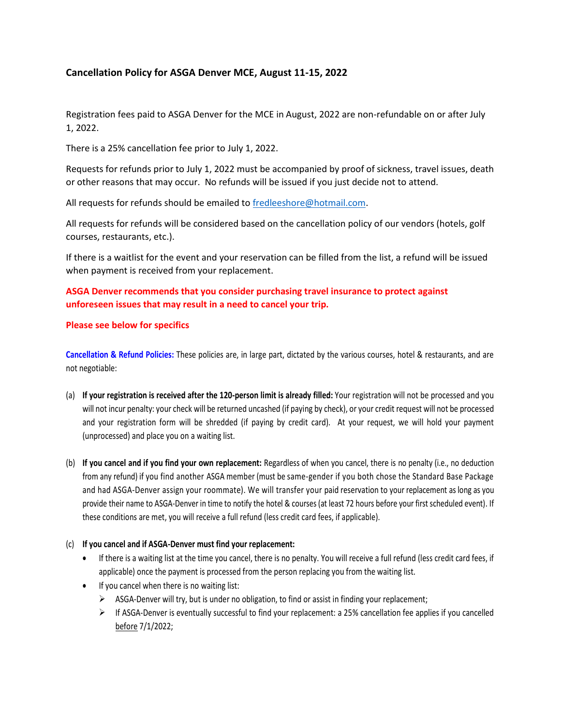# **Cancellation Policy for ASGA Denver MCE, August 11-15, 2022**

Registration fees paid to ASGA Denver for the MCE in August, 2022 are non-refundable on or after July 1, 2022.

There is a 25% cancellation fee prior to July 1, 2022.

Requests for refunds prior to July 1, 2022 must be accompanied by proof of sickness, travel issues, death or other reasons that may occur. No refunds will be issued if you just decide not to attend.

All requests for refunds should be emailed to [fredleeshore@hotmail.com.](mailto:fredleeshore@hotmail.com)

All requests for refunds will be considered based on the cancellation policy of our vendors (hotels, golf courses, restaurants, etc.).

If there is a waitlist for the event and your reservation can be filled from the list, a refund will be issued when payment is received from your replacement.

## **ASGA Denver recommends that you consider purchasing travel insurance to protect against unforeseen issues that may result in a need to cancel your trip.**

#### **Please see below for specifics**

**Cancellation & Refund Policies:** These policies are, in large part, dictated by the various courses, hotel & restaurants, and are not negotiable:

- (a) **If your registration is received after the 120-person limit is already filled:** Your registration will not be processed and you will not incur penalty: your check will be returned uncashed (if paying by check), or your credit request will not be processed and your registration form will be shredded (if paying by credit card). At your request, we will hold your payment (unprocessed) and place you on a waiting list.
- (b) **If you cancel and if you find your own replacement:** Regardless of when you cancel, there is no penalty (i.e., no deduction from any refund) if you find another ASGA member (must be same-gender if you both chose the Standard Base Package and had ASGA-Denver assign your roommate). We will transfer your paid reservation to your replacement as long as you provide their name to ASGA-Denver in time to notify the hotel & courses (at least 72 hours before your first scheduled event). If these conditions are met, you will receive a full refund (less credit card fees, if applicable).

### (c) **If you cancel and if ASGA-Denver must find your replacement:**

- If there is a waiting list at the time you cancel, there is no penalty. You will receive a full refund (less credit card fees, if applicable) once the payment is processed from the person replacing you from the waiting list.
- If you cancel when there is no waiting list:
	- ➢ ASGA-Denver will try, but is under no obligation, to find or assist in finding your replacement;
	- $\triangleright$  If ASGA-Denver is eventually successful to find your replacement: a 25% cancellation fee applies if you cancelled before 7/1/2022;